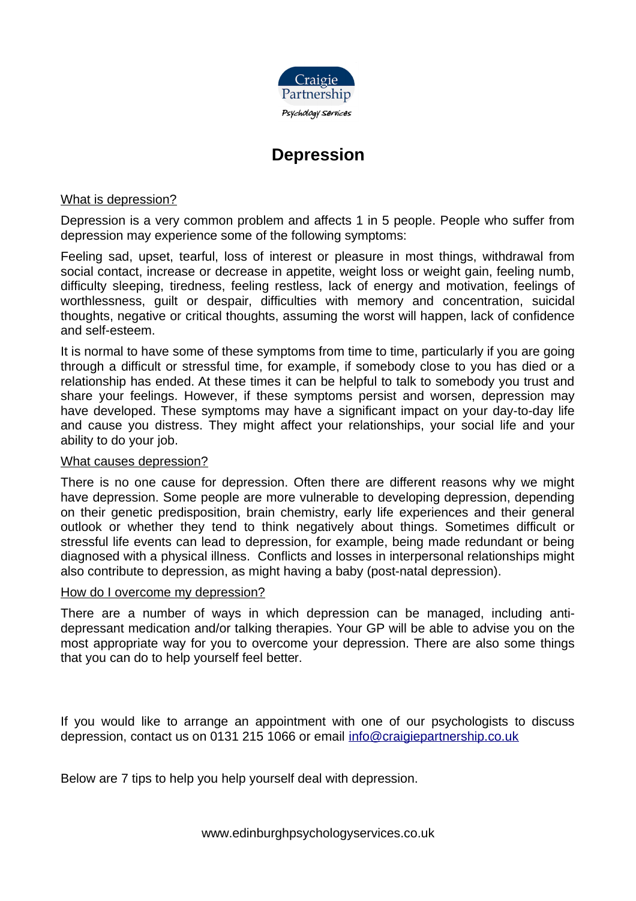

# **Depression**

What is depression?

Depression is a very common problem and affects 1 in 5 people. People who suffer from depression may experience some of the following symptoms:

Feeling sad, upset, tearful, loss of interest or pleasure in most things, withdrawal from social contact, increase or decrease in appetite, weight loss or weight gain, feeling numb, difficulty sleeping, tiredness, feeling restless, lack of energy and motivation, feelings of worthlessness, guilt or despair, difficulties with memory and concentration, suicidal thoughts, negative or critical thoughts, assuming the worst will happen, lack of confidence and self-esteem.

It is normal to have some of these symptoms from time to time, particularly if you are going through a difficult or stressful time, for example, if somebody close to you has died or a relationship has ended. At these times it can be helpful to talk to somebody you trust and share your feelings. However, if these symptoms persist and worsen, depression may have developed. These symptoms may have a significant impact on your day-to-day life and cause you distress. They might affect your relationships, your social life and your ability to do your job.

#### What causes depression?

There is no one cause for depression. Often there are different reasons why we might have depression. Some people are more vulnerable to developing depression, depending on their genetic predisposition, brain chemistry, early life experiences and their general outlook or whether they tend to think negatively about things. Sometimes difficult or stressful life events can lead to depression, for example, being made redundant or being diagnosed with a physical illness. Conflicts and losses in interpersonal relationships might also contribute to depression, as might having a baby (post-natal depression).

#### How do I overcome my depression?

There are a number of ways in which depression can be managed, including antidepressant medication and/or talking therapies. Your GP will be able to advise you on the most appropriate way for you to overcome your depression. There are also some things that you can do to help yourself feel better.

If you would like to arrange an appointment with one of our psychologists to discuss depression, contact us on 0131 215 1066 or email [info@craigiepartnership.co.uk](mailto:info@craigiepartnership.co.uk)

Below are 7 tips to help you help yourself deal with depression.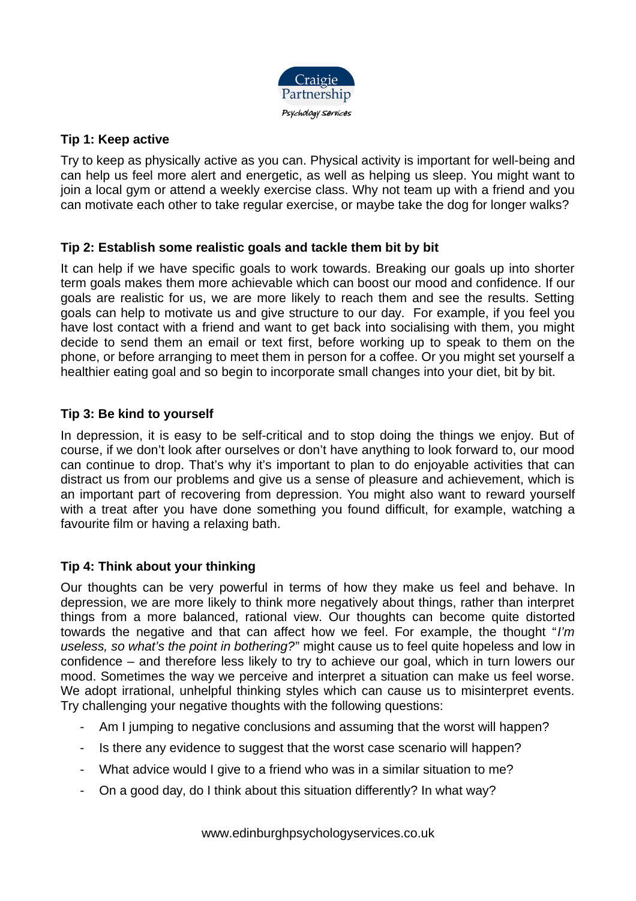

## **Tip 1: Keep active**

Try to keep as physically active as you can. Physical activity is important for well-being and can help us feel more alert and energetic, as well as helping us sleep. You might want to join a local gym or attend a weekly exercise class. Why not team up with a friend and you can motivate each other to take regular exercise, or maybe take the dog for longer walks?

## **Tip 2: Establish some realistic goals and tackle them bit by bit**

It can help if we have specific goals to work towards. Breaking our goals up into shorter term goals makes them more achievable which can boost our mood and confidence. If our goals are realistic for us, we are more likely to reach them and see the results. Setting goals can help to motivate us and give structure to our day. For example, if you feel you have lost contact with a friend and want to get back into socialising with them, you might decide to send them an email or text first, before working up to speak to them on the phone, or before arranging to meet them in person for a coffee. Or you might set yourself a healthier eating goal and so begin to incorporate small changes into your diet, bit by bit.

## **Tip 3: Be kind to yourself**

In depression, it is easy to be self-critical and to stop doing the things we enjoy. But of course, if we don't look after ourselves or don't have anything to look forward to, our mood can continue to drop. That's why it's important to plan to do enjoyable activities that can distract us from our problems and give us a sense of pleasure and achievement, which is an important part of recovering from depression. You might also want to reward yourself with a treat after you have done something you found difficult, for example, watching a favourite film or having a relaxing bath.

# **Tip 4: Think about your thinking**

Our thoughts can be very powerful in terms of how they make us feel and behave. In depression, we are more likely to think more negatively about things, rather than interpret things from a more balanced, rational view. Our thoughts can become quite distorted towards the negative and that can affect how we feel. For example, the thought "I'm useless, so what's the point in bothering?" might cause us to feel quite hopeless and low in confidence – and therefore less likely to try to achieve our goal, which in turn lowers our mood. Sometimes the way we perceive and interpret a situation can make us feel worse. We adopt irrational, unhelpful thinking styles which can cause us to misinterpret events. Try challenging your negative thoughts with the following questions:

- Am I jumping to negative conclusions and assuming that the worst will happen?
- Is there any evidence to suggest that the worst case scenario will happen?
- What advice would I give to a friend who was in a similar situation to me?
- On a good day, do I think about this situation differently? In what way?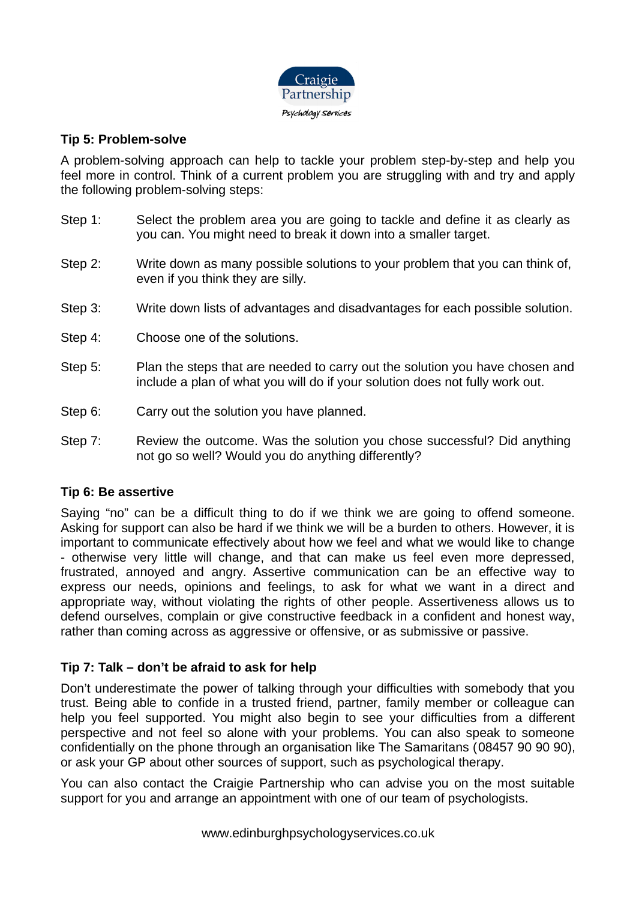

## **Tip 5: Problem-solve**

A problem-solving approach can help to tackle your problem step-by-step and help you feel more in control. Think of a current problem you are struggling with and try and apply the following problem-solving steps:

- Step 1: Select the problem area you are going to tackle and define it as clearly as you can. You might need to break it down into a smaller target.
- Step 2: Write down as many possible solutions to your problem that you can think of, even if you think they are silly.
- Step 3: Write down lists of advantages and disadvantages for each possible solution.
- Step 4: Choose one of the solutions.
- Step 5: Plan the steps that are needed to carry out the solution you have chosen and include a plan of what you will do if your solution does not fully work out.
- Step 6: Carry out the solution you have planned.
- Step 7: Review the outcome. Was the solution you chose successful? Did anything not go so well? Would you do anything differently?

#### **Tip 6: Be assertive**

Saying "no" can be a difficult thing to do if we think we are going to offend someone. Asking for support can also be hard if we think we will be a burden to others. However, it is important to communicate effectively about how we feel and what we would like to change - otherwise very little will change, and that can make us feel even more depressed, frustrated, annoyed and angry. Assertive communication can be an effective way to express our needs, opinions and feelings, to ask for what we want in a direct and appropriate way, without violating the rights of other people. Assertiveness allows us to defend ourselves, complain or give constructive feedback in a confident and honest way, rather than coming across as aggressive or offensive, or as submissive or passive.

#### **Tip 7: Talk – don't be afraid to ask for help**

Don't underestimate the power of talking through your difficulties with somebody that you trust. Being able to confide in a trusted friend, partner, family member or colleague can help you feel supported. You might also begin to see your difficulties from a different perspective and not feel so alone with your problems. You can also speak to someone confidentially on the phone through an organisation like The Samaritans (08457 90 90 90), or ask your GP about other sources of support, such as psychological therapy.

You can also contact the Craigie Partnership who can advise you on the most suitable support for you and arrange an appointment with one of our team of psychologists.